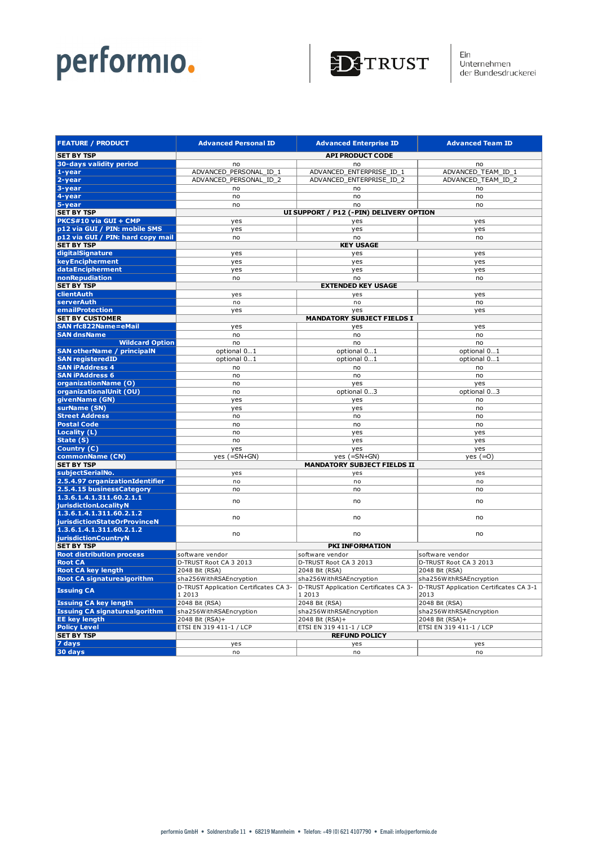

Ein<br>Unternehmen<br>der Bundesdruckerei

| <b>FEATURE / PRODUCT</b>             |                        | <b>Advanced Personal ID</b>                      | <b>Advanced Enterprise ID</b>                    | <b>Advanced Team ID</b>                         |
|--------------------------------------|------------------------|--------------------------------------------------|--------------------------------------------------|-------------------------------------------------|
| <b>SET BY TSP</b>                    |                        | <b>API PRODUCT CODE</b>                          |                                                  |                                                 |
| 30-days validity period              |                        | no                                               | no                                               | no                                              |
| $1 - year$                           |                        | ADVANCED PERSONAL ID 1                           | ADVANCED ENTERPRISE ID 1                         | ADVANCED_TEAM_ID_1                              |
| 2-year                               |                        | ADVANCED_PERSONAL_ID_2                           | ADVANCED_ENTERPRISE_ID_2                         | ADVANCED_TEAM_ID_2                              |
| 3-year                               |                        | no                                               | no                                               | no                                              |
| 4-year                               |                        | no                                               | no                                               | no                                              |
| 5-year                               |                        | no                                               | no                                               | no                                              |
| <b>SET BY TSP</b>                    |                        |                                                  | UI SUPPORT / P12 (-PIN) DELIVERY OPTION          |                                                 |
| PKCS#10 via GUI + CMP                |                        | yes                                              | yes                                              | yes                                             |
| p12 via GUI / PIN: mobile SMS        |                        | yes                                              | yes                                              | yes                                             |
| p12 via GUI / PIN: hard copy mail    |                        | no                                               | no                                               | no                                              |
| <b>SET BY TSP</b>                    |                        |                                                  | <b>KEY USAGE</b>                                 |                                                 |
| digitalSignature                     |                        | yes                                              | yes                                              | yes                                             |
| keyEncipherment                      |                        | yes                                              | yes                                              | yes                                             |
| dataEncipherment                     |                        | yes                                              | yes                                              | yes                                             |
| nonRepudiation                       |                        | no                                               | no                                               | no                                              |
| <b>SET BY TSP</b>                    |                        | <b>EXTENDED KEY USAGE</b>                        |                                                  |                                                 |
| clientAuth                           |                        | yes                                              | yes                                              | yes                                             |
| serverAuth                           |                        | no                                               | no                                               | no                                              |
| emailProtection                      |                        | yes                                              | yes                                              | yes                                             |
| <b>SET BY CUSTOMER</b>               |                        | <b>MANDATORY SUBJECT FIELDS I</b>                |                                                  |                                                 |
| <b>SAN rfc822Name=eMail</b>          |                        | yes                                              | yes                                              | yes                                             |
| <b>SAN dnsName</b>                   |                        | no                                               | no                                               | no                                              |
|                                      | <b>Wildcard Option</b> | no                                               | no                                               | no                                              |
| <b>SAN otherName / principalN</b>    |                        | optional 01                                      | optional 01                                      | optional 01                                     |
| <b>SAN registeredID</b>              |                        | optional 01                                      | optional 01                                      | optional 01                                     |
| <b>SAN iPAddress 4</b>               |                        | no                                               | no                                               | no                                              |
| <b>SAN iPAddress 6</b>               |                        | no                                               | no                                               | no                                              |
| organizationName (O)                 |                        | no                                               | yes                                              | yes                                             |
| organizationalUnit (OU)              |                        | no                                               | optional 03                                      | optional 03                                     |
| givenName (GN)                       |                        | yes                                              | yes                                              | no                                              |
| surName (SN)                         |                        | yes                                              | yes                                              | no                                              |
| <b>Street Address</b>                |                        | no                                               | no                                               | no                                              |
| <b>Postal Code</b>                   |                        | no<br>no                                         | no                                               | no                                              |
| Locality (L)<br>State (S)            |                        | no                                               | yes<br>yes                                       | yes<br>yes                                      |
| Country (C)                          |                        | yes                                              | yes                                              | yes                                             |
| commonName (CN)                      |                        | $yes (=SN+GN)$                                   | yes $(=\text{SN}+\text{GN})$                     | yes $(=0)$                                      |
| <b>SET BY TSP</b>                    |                        |                                                  | <b>MANDATORY SUBJECT FIELDS II</b>               |                                                 |
| subjectSerialNo.                     |                        | yes                                              | yes                                              | yes                                             |
| 2.5.4.97 organizationIdentifier      |                        | no                                               | no                                               | no                                              |
| 2.5.4.15 businessCategory            |                        | no                                               | no                                               | no                                              |
| 1.3.6.1.4.1.311.60.2.1.1             |                        |                                                  |                                                  |                                                 |
| jurisdictionLocalityN                |                        | no                                               | no                                               | no                                              |
| 1.3.6.1.4.1.311.60.2.1.2             |                        |                                                  |                                                  |                                                 |
| jurisdictionStateOrProvinceN         |                        | no                                               | no                                               | no                                              |
| 1.3.6.1.4.1.311.60.2.1.2             |                        | no                                               | no                                               | no                                              |
| jurisdictionCountryN                 |                        |                                                  |                                                  |                                                 |
| <b>SET BY TSP</b>                    |                        | PKI INFORMATION                                  |                                                  |                                                 |
| <b>Root distribution process</b>     |                        | software vendor                                  | software vendor                                  | software vendor                                 |
| <b>Root CA</b>                       |                        | D-TRUST Root CA 3 2013                           | D-TRUST Root CA 3 2013                           | D-TRUST Root CA 3 2013                          |
| <b>Root CA key length</b>            |                        | 2048 Bit (RSA)                                   | 2048 Bit (RSA)                                   | 2048 Bit (RSA)                                  |
| <b>Root CA signaturealgorithm</b>    |                        | sha256WithRSAEncryption                          | sha256WithRSAEncryption                          | sha256WithRSAEncryption                         |
| <b>Issuing CA</b>                    |                        | D-TRUST Application Certificates CA 3-<br>1 2013 | D-TRUST Application Certificates CA 3-<br>1 2013 | D-TRUST Application Certificates CA 3-1<br>2013 |
| <b>Issuing CA key length</b>         |                        | 2048 Bit (RSA)                                   | 2048 Bit (RSA)                                   | 2048 Bit (RSA)                                  |
| <b>Issuing CA signaturealgorithm</b> |                        | sha256WithRSAEncryption                          | sha256WithRSAEncryption                          | sha256WithRSAEncryption                         |
| <b>EE key length</b>                 |                        | 2048 Bit (RSA)+                                  | 2048 Bit (RSA)+                                  | 2048 Bit (RSA)+                                 |
| <b>Policy Level</b>                  |                        | ETSI EN 319 411-1 / LCP                          | ETSI EN 319 411-1 / LCP                          | ETSI EN 319 411-1 / LCP                         |
| <b>SET BY TSP</b>                    |                        |                                                  | <b>REFUND POLICY</b>                             |                                                 |
| 7 days                               |                        | yes                                              | yes                                              | yes                                             |
| 30 days                              |                        | no                                               | no                                               | no                                              |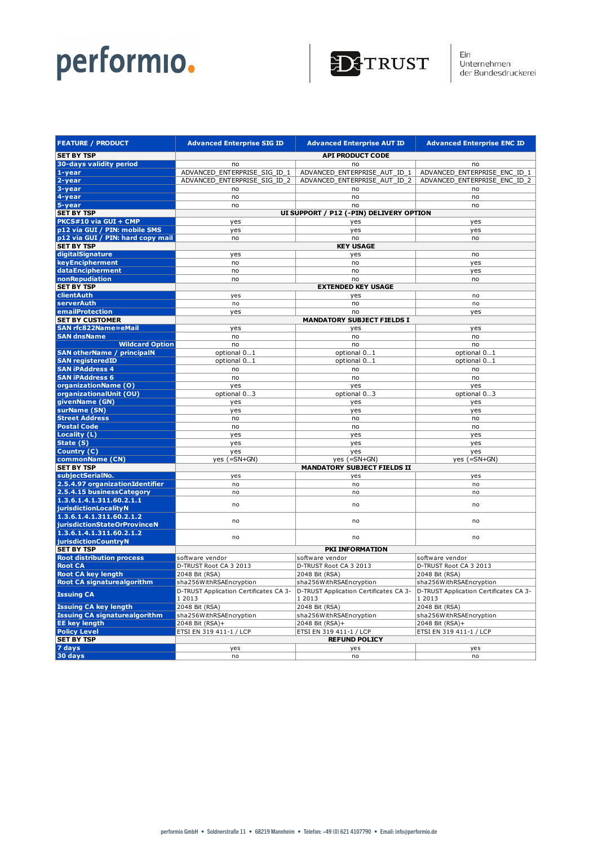

| <b>FEATURE / PRODUCT</b>                          | <b>Advanced Enterprise SIG ID</b>      | <b>Advanced Enterprise AUT ID</b>       | <b>Advanced Enterprise ENC ID</b>      |
|---------------------------------------------------|----------------------------------------|-----------------------------------------|----------------------------------------|
| <b>SET BY TSP</b>                                 | <b>API PRODUCT CODE</b>                |                                         |                                        |
| 30-days validity period                           | no                                     | no                                      | no                                     |
| 1-year                                            | ADVANCED ENTERPRISE SIG ID 1           | ADVANCED ENTERPRISE AUT ID 1            | ADVANCED ENTERPRISE ENC ID 1           |
| 2-year                                            | ADVANCED ENTERPRISE SIG ID 2           | ADVANCED ENTERPRISE AUT ID 2            | ADVANCED ENTERPRISE ENC ID 2           |
| 3-year                                            | no                                     | no                                      | no                                     |
| 4-year                                            | no                                     | no                                      | no                                     |
| 5-year                                            | no                                     | no                                      | no                                     |
| <b>SET BY TSP</b>                                 |                                        | UI SUPPORT / P12 (-PIN) DELIVERY OPTION |                                        |
| PKCS#10 via GUI + CMP                             | yes                                    | yes                                     | yes                                    |
| p12 via GUI / PIN: mobile SMS                     | yes                                    | yes                                     | yes                                    |
| p12 via GUI / PIN: hard copy mail                 | no                                     | no                                      | no                                     |
| <b>SET BY TSP</b>                                 |                                        | <b>KEY USAGE</b>                        |                                        |
| digitalSignature                                  | yes                                    | yes                                     | no                                     |
| keyEncipherment                                   | no                                     | no                                      | yes                                    |
| dataEncipherment                                  | no                                     | no                                      | yes                                    |
| nonRepudiation                                    | no                                     | no                                      | no                                     |
| <b>SET BY TSP</b>                                 |                                        | <b>EXTENDED KEY USAGE</b>               |                                        |
| clientAuth                                        | yes                                    | yes                                     | no                                     |
| serverAuth                                        | no                                     | no                                      | no                                     |
| emailProtection                                   | yes                                    | no                                      | yes                                    |
| <b>SET BY CUSTOMER</b>                            |                                        | <b>MANDATORY SUBJECT FIELDS I</b>       |                                        |
| <b>SAN rfc822Name=eMail</b>                       | yes                                    | yes                                     | yes                                    |
| <b>SAN dnsName</b>                                | no                                     | no                                      | no                                     |
| <b>Wildcard Option</b>                            | no                                     | no                                      | no                                     |
| <b>SAN otherName / principalN</b>                 | optional 01                            | optional 01                             | optional 01                            |
| <b>SAN registeredID</b>                           | optional 01                            | optional 01                             | optional 01                            |
| <b>SAN iPAddress 4</b>                            | no                                     | no                                      | no                                     |
| <b>SAN iPAddress 6</b>                            | no                                     | no                                      | no                                     |
| organizationName (O)                              | yes                                    | yes                                     | yes                                    |
| organizationalUnit (OU)                           | optional 03                            | optional 03                             | optional 03                            |
| givenName (GN)                                    | yes                                    | yes                                     | yes                                    |
| surName (SN)                                      | yes                                    | yes                                     | yes                                    |
| <b>Street Address</b>                             | no                                     | no                                      | no                                     |
| <b>Postal Code</b>                                | no                                     | no                                      | no                                     |
| Locality (L)                                      | yes                                    | yes                                     | yes                                    |
| State (S)                                         | yes                                    | yes                                     | yes                                    |
| Country (C)                                       | yes                                    | yes                                     | yes                                    |
| commonName (CN)                                   | yes $(=\text{SN}+\text{GN})$           | yes $(=\text{SN}+\text{GN})$            | yes $(=\text{SN}+\text{GN})$           |
| <b>SET BY TSP</b>                                 |                                        | <b>MANDATORY SUBJECT FIELDS II</b>      |                                        |
| subjectSerialNo.                                  | yes                                    | yes                                     | yes                                    |
| 2.5.4.97 organizationIdentifier                   | no                                     | no                                      | no                                     |
| 2.5.4.15 businessCategory                         | no                                     | no                                      | no                                     |
| 1.3.6.1.4.1.311.60.2.1.1                          | no                                     | no                                      | no                                     |
| jurisdictionLocalityN<br>1.3.6.1.4.1.311.60.2.1.2 |                                        |                                         |                                        |
| jurisdictionStateOrProvinceN                      | no                                     | no                                      | no                                     |
| 1.3.6.1.4.1.311.60.2.1.2                          |                                        |                                         |                                        |
| <b>jurisdictionCountryN</b>                       | no                                     | no                                      | no                                     |
| <b>SET BY TSP</b>                                 |                                        | PKI INFORMATION                         |                                        |
| <b>Root distribution process</b>                  | software vendor                        | software vendor                         | software vendor                        |
| <b>Root CA</b>                                    | D-TRUST Root CA 3 2013                 | D-TRUST Root CA 3 2013                  | D-TRUST Root CA 3 2013                 |
| <b>Root CA key length</b>                         | 2048 Bit (RSA)                         | 2048 Bit (RSA)                          | 2048 Bit (RSA)                         |
| <b>Root CA signaturealgorithm</b>                 | sha256WithRSAEncryption                | sha256WithRSAEncryption                 | sha256WithRSAEncryption                |
|                                                   | D-TRUST Application Certificates CA 3- | D-TRUST Application Certificates CA 3-  | D-TRUST Application Certificates CA 3- |
| <b>Issuing CA</b>                                 | 1 2013                                 | 1 2013                                  | 1 2013                                 |
| <b>Issuing CA key length</b>                      | 2048 Bit (RSA)                         | 2048 Bit (RSA)                          | 2048 Bit (RSA)                         |
| <b>Issuing CA signaturealgorithm</b>              | sha256WithRSAEncryption                | sha256WithRSAEncryption                 | sha256WithRSAEncryption                |
| <b>EE key length</b>                              | 2048 Bit (RSA)+                        | 2048 Bit (RSA)+                         | 2048 Bit (RSA)+                        |
| <b>Policy Level</b>                               | ETSI EN 319 411-1 / LCP                | ETSI EN 319 411-1 / LCP                 | ETSI EN 319 411-1 / LCP                |
| <b>SET BY TSP</b>                                 |                                        | <b>REFUND POLICY</b>                    |                                        |
| 7 days                                            | yes                                    | yes                                     | yes                                    |
| 30 days                                           | no                                     | no                                      | no                                     |
|                                                   |                                        |                                         |                                        |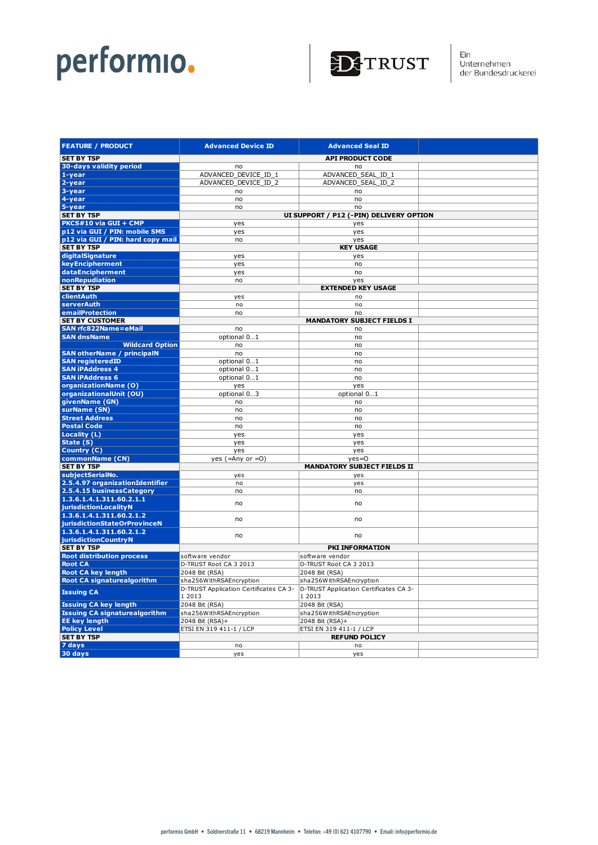

|| Ein<br>| Unternehmen<br>| der Bundesdruckerei

| <b>FEATURE / PRODUCT</b>                          | <b>Advanced Device ID</b>                        | <b>Advanced Seal ID</b>                          |  |
|---------------------------------------------------|--------------------------------------------------|--------------------------------------------------|--|
| <b>SET BY TSP</b>                                 |                                                  | <b>API PRODUCT CODE</b>                          |  |
| 30-days validity period                           | no                                               | no                                               |  |
| 1-year                                            | ADVANCED_DEVICE_ID_1                             | ADVANCED_SEAL_ID_1                               |  |
| 2-year                                            | ADVANCED_DEVICE_ID_2                             | ADVANCED_SEAL_ID_2                               |  |
| 3-year                                            | no                                               | no                                               |  |
| 4-year                                            | no                                               | no                                               |  |
| 5-year                                            | no                                               | no                                               |  |
| <b>SET BY TSP</b>                                 | UI SUPPORT / P12 (-PIN) DELIVERY OPTION          |                                                  |  |
| PKCS#10 via GUI + CMP                             | yes                                              | yes                                              |  |
| p12 via GUI / PIN: mobile SMS                     | yes                                              | yes                                              |  |
| p12 via GUI / PIN: hard copy mail                 | no                                               | yes                                              |  |
| <b>SET BY TSP</b><br>digitalSignature             | yes                                              | <b>KEY USAGE</b><br>yes                          |  |
| keyEncipherment                                   | yes                                              | no                                               |  |
| dataEncipherment                                  | yes                                              | no                                               |  |
| nonRepudiation                                    | no                                               | yes                                              |  |
| <b>SET BY TSP</b>                                 |                                                  | <b>EXTENDED KEY USAGE</b>                        |  |
| clientAuth                                        | yes                                              | no                                               |  |
| serverAuth                                        | no                                               | no                                               |  |
| emailProtection                                   | no                                               | no                                               |  |
| <b>SET BY CUSTOMER</b>                            |                                                  | <b>MANDATORY SUBJECT FIELDS I</b>                |  |
| <b>SAN rfc822Name=eMail</b>                       | no                                               | no                                               |  |
| <b>SAN dnsName</b>                                | optional 01                                      | no                                               |  |
| <b>Wildcard Option</b>                            | no                                               | no                                               |  |
| <b>SAN otherName / principalN</b>                 | no                                               | no                                               |  |
| <b>SAN registeredID</b><br><b>SAN iPAddress 4</b> | optional 01<br>optional 01                       | no<br>no                                         |  |
| <b>SAN iPAddress 6</b>                            | optional 01                                      | no                                               |  |
| organizationName (O)                              | yes                                              | yes                                              |  |
| organizationalUnit (OU)                           | optional 03                                      | optional 01                                      |  |
| givenName (GN)                                    | no                                               | no                                               |  |
| surName (SN)                                      | no                                               | no                                               |  |
| <b>Street Address</b>                             | no                                               | no                                               |  |
| <b>Postal Code</b>                                | no                                               | no                                               |  |
| Locality (L)                                      | yes                                              | yes                                              |  |
| State (S)                                         | yes                                              | yes                                              |  |
| Country (C)                                       | yes                                              | yes                                              |  |
| commonName (CN)                                   | yes (=Any or $=0$ )                              | $yes=0$                                          |  |
| <b>SET BY TSP</b><br>subjectSerialNo.             |                                                  | <b>MANDATORY SUBJECT FIELDS II</b>               |  |
| 2.5.4.97 organizationIdentifier                   | yes<br>no                                        | yes                                              |  |
| 2.5.4.15 businessCategory                         | no                                               | yes<br>no                                        |  |
| 1.3.6.1.4.1.311.60.2.1.1                          |                                                  |                                                  |  |
| jurisdictionLocalityN                             | no                                               | no                                               |  |
| 1.3.6.1.4.1.311.60.2.1.2                          |                                                  |                                                  |  |
| iurisdictionStateOrProvinceN                      | no                                               | no                                               |  |
| 1.3.6.1.4.1.311.60.2.1.2                          | no                                               | no                                               |  |
| jurisdictionCountryN                              |                                                  |                                                  |  |
| <b>SET BY TSP</b>                                 |                                                  | PKI INFORMATION                                  |  |
| <b>Root distribution process</b>                  | software vendor                                  | software vendor                                  |  |
| <b>Root CA</b>                                    | D-TRUST Root CA 3 2013                           | D-TRUST Root CA 3 2013                           |  |
| <b>Root CA key length</b>                         | 2048 Bit (RSA)                                   | 2048 Bit (RSA)                                   |  |
| <b>Root CA signaturealgorithm</b>                 | sha256WithRSAEncryption                          | sha256WithRSAEncryption                          |  |
| <b>Issuing CA</b>                                 | D-TRUST Application Certificates CA 3-<br>1 2013 | D-TRUST Application Certificates CA 3-<br>1 2013 |  |
| <b>Issuing CA key length</b>                      | 2048 Bit (RSA)                                   | 2048 Bit (RSA)                                   |  |
| <b>Issuing CA signaturealgorithm</b>              | sha256WithRSAEncryption                          | sha256WithRSAEncryption                          |  |
| <b>EE key length</b>                              | 2048 Bit (RSA)+                                  | 2048 Bit (RSA)+                                  |  |
| <b>Policy Level</b>                               | ETSI EN 319 411-1 / LCP                          | ETSI EN 319 411-1 / LCP                          |  |
| <b>SET BY TSP</b>                                 |                                                  | <b>REFUND POLICY</b>                             |  |
| 7 days                                            | no                                               | no                                               |  |
| 30 days                                           | yes                                              | yes                                              |  |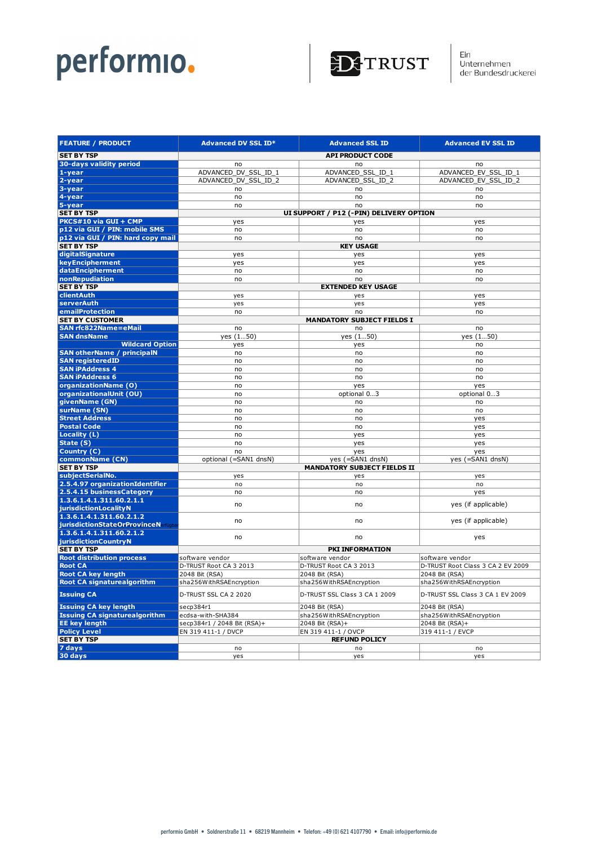

Ein<br>Unternehmen<br>der Bundesdruckerei

| <b>FEATURE / PRODUCT</b>                            | <b>Advanced DV SSL ID*</b>                | <b>Advanced SSL ID</b>                  | <b>Advanced EV SSL ID</b>         |
|-----------------------------------------------------|-------------------------------------------|-----------------------------------------|-----------------------------------|
| <b>SET BY TSP</b>                                   | <b>API PRODUCT CODE</b>                   |                                         |                                   |
| 30-days validity period                             | no                                        | no                                      | no                                |
| $1 - year$                                          | ADVANCED DV SSL ID 1                      | ADVANCED SSL ID 1                       | ADVANCED_EV_SSL_ID_1              |
| 2-year                                              | ADVANCED DV SSL ID 2                      | ADVANCED_SSL_ID_2                       | ADVANCED_EV_SSL_ID_2              |
| 3-year                                              | no                                        | no                                      | no                                |
| 4-year                                              | no                                        | no                                      | no                                |
| 5-year                                              | no                                        | no                                      | no                                |
| <b>SET BY TSP</b>                                   |                                           | UI SUPPORT / P12 (-PIN) DELIVERY OPTION |                                   |
| PKCS#10 via GUI + CMP                               | yes                                       | yes                                     | yes                               |
| p12 via GUI / PIN: mobile SMS                       | no                                        | no                                      | no                                |
| p12 via GUI / PIN: hard copy mail                   | no                                        | no                                      | no                                |
| <b>SET BY TSP</b>                                   |                                           | <b>KEY USAGE</b>                        |                                   |
| digitalSignature                                    | yes                                       | yes                                     | yes                               |
| keyEncipherment                                     | yes                                       | yes                                     | yes                               |
| dataEncipherment                                    | no                                        | no                                      | no                                |
| nonRepudiation                                      | no                                        | no                                      | no                                |
| <b>SET BY TSP</b>                                   |                                           | <b>EXTENDED KEY USAGE</b>               |                                   |
| clientAuth                                          | yes                                       | yes                                     | yes                               |
| serverAuth                                          | yes                                       | yes                                     | yes                               |
| emailProtection                                     | no                                        | no                                      | no                                |
| <b>SET BY CUSTOMER</b>                              | <b>MANDATORY SUBJECT FIELDS I</b>         |                                         |                                   |
| <b>SAN rfc822Name=eMail</b>                         | no                                        | no                                      | no                                |
| <b>SAN dnsName</b>                                  | yes (150)                                 | yes (150)                               | yes (150)                         |
| <b>Wildcard Option</b>                              | yes                                       | yes                                     | no                                |
| <b>SAN otherName / principalN</b>                   | no                                        | no                                      | no                                |
| <b>SAN registeredID</b>                             | no                                        | no                                      | no                                |
| <b>SAN iPAddress 4</b>                              | no                                        | no                                      | no                                |
| <b>SAN iPAddress 6</b>                              | no                                        | no                                      | no                                |
| organizationName (O)                                | no                                        | yes                                     | yes                               |
| organizationalUnit (OU)                             | no                                        | optional 03                             | optional 03                       |
| givenName (GN)                                      | no                                        | no                                      | no                                |
| surName (SN)                                        | no                                        | no                                      | no                                |
| <b>Street Address</b>                               | no                                        | no                                      | yes                               |
| <b>Postal Code</b>                                  | no                                        | no                                      | yes                               |
| Locality (L)                                        | no                                        | yes                                     | yes                               |
| State (S)                                           | no                                        | yes                                     | yes                               |
| Country (C)                                         | no                                        | yes                                     | yes                               |
| commonName (CN)                                     | $(=\text{SAN1} \text{ dnsN})$<br>optional | yes (=SAN1 dnsN)                        | yes (=SAN1 dnsN)                  |
| <b>SET BY TSP</b>                                   |                                           | <b>MANDATORY SUBJECT FIELDS II</b>      |                                   |
| subjectSerialNo.<br>2.5.4.97 organizationIdentifier | yes                                       | yes                                     | yes                               |
| 2.5.4.15 businessCategory                           | no<br>no                                  | no<br>no                                | no                                |
| 1.3.6.1.4.1.311.60.2.1.1                            |                                           |                                         | yes                               |
| jurisdictionLocalityN                               | no                                        | no                                      | yes (if applicable)               |
| 1.3.6.1.4.1.311.60.2.1.2                            |                                           |                                         |                                   |
| jurisdictionStateOrProvinceNerfugba                 | no                                        | no                                      | yes (if applicable)               |
| 1.3.6.1.4.1.311.60.2.1.2                            |                                           |                                         |                                   |
| jurisdictionCountryN                                | no                                        | no                                      | yes                               |
| <b>SET BY TSP</b>                                   |                                           | PKI INFORMATION                         |                                   |
| <b>Root distribution process</b>                    | software vendor                           | software vendor                         | software vendor                   |
| <b>Root CA</b>                                      | D-TRUST Root CA 3 2013                    | D-TRUST Root CA 3 2013                  | D-TRUST Root Class 3 CA 2 EV 2009 |
| <b>Root CA key length</b>                           | 2048 Bit (RSA)                            | 2048 Bit (RSA)                          | 2048 Bit (RSA)                    |
| <b>Root CA signaturealgorithm</b>                   | sha256WithRSAEncryption                   | sha256WithRSAEncryption                 | sha256WithRSAEncryption           |
| <b>Issuing CA</b>                                   | D-TRUST SSL CA 2 2020                     | D-TRUST SSL Class 3 CA 1 2009           | D-TRUST SSL Class 3 CA 1 EV 2009  |
| <b>Issuing CA key length</b>                        | secp384r1                                 | 2048 Bit (RSA)                          | 2048 Bit (RSA)                    |
| <b>Issuing CA signaturealgorithm</b>                | ecdsa-with-SHA384                         | sha256WithRSAEncryption                 | sha256WithRSAEncryption           |
| <b>EE key length</b>                                | secp384r1 / 2048 Bit (RSA)+               | 2048 Bit (RSA)+                         | 2048 Bit (RSA)+                   |
| <b>Policy Level</b>                                 | EN 319 411-1 / DVCP                       | EN 319 411-1 / OVCP                     | 319 411-1 / EVCP                  |
| <b>SET BY TSP</b>                                   |                                           | <b>REFUND POLICY</b>                    |                                   |
| 7 days                                              | no                                        | no                                      | no                                |
| 30 days                                             | yes                                       | yes                                     | yes                               |